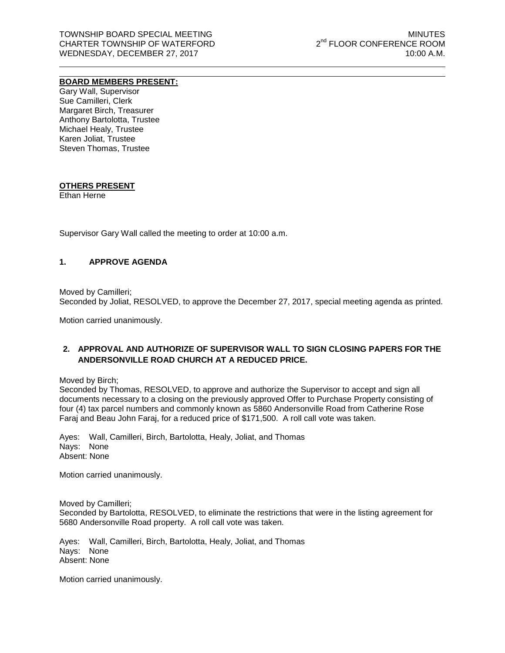### **BOARD MEMBERS PRESENT:**

Gary Wall, Supervisor Sue Camilleri, Clerk Margaret Birch, Treasurer Anthony Bartolotta, Trustee Michael Healy, Trustee Karen Joliat, Trustee Steven Thomas, Trustee

## **OTHERS PRESENT**

Ethan Herne

Supervisor Gary Wall called the meeting to order at 10:00 a.m.

### **1. APPROVE AGENDA**

Moved by Camilleri; Seconded by Joliat, RESOLVED, to approve the December 27, 2017, special meeting agenda as printed.

Motion carried unanimously.

# **2. APPROVAL AND AUTHORIZE OF SUPERVISOR WALL TO SIGN CLOSING PAPERS FOR THE ANDERSONVILLE ROAD CHURCH AT A REDUCED PRICE.**

Moved by Birch;

Seconded by Thomas, RESOLVED, to approve and authorize the Supervisor to accept and sign all documents necessary to a closing on the previously approved Offer to Purchase Property consisting of four (4) tax parcel numbers and commonly known as 5860 Andersonville Road from Catherine Rose Faraj and Beau John Faraj, for a reduced price of \$171,500. A roll call vote was taken.

Ayes: Wall, Camilleri, Birch, Bartolotta, Healy, Joliat, and Thomas Nays: None Absent: None

Motion carried unanimously.

Moved by Camilleri; Seconded by Bartolotta, RESOLVED, to eliminate the restrictions that were in the listing agreement for 5680 Andersonville Road property. A roll call vote was taken.

Ayes: Wall, Camilleri, Birch, Bartolotta, Healy, Joliat, and Thomas Nays: None Absent: None

Motion carried unanimously.